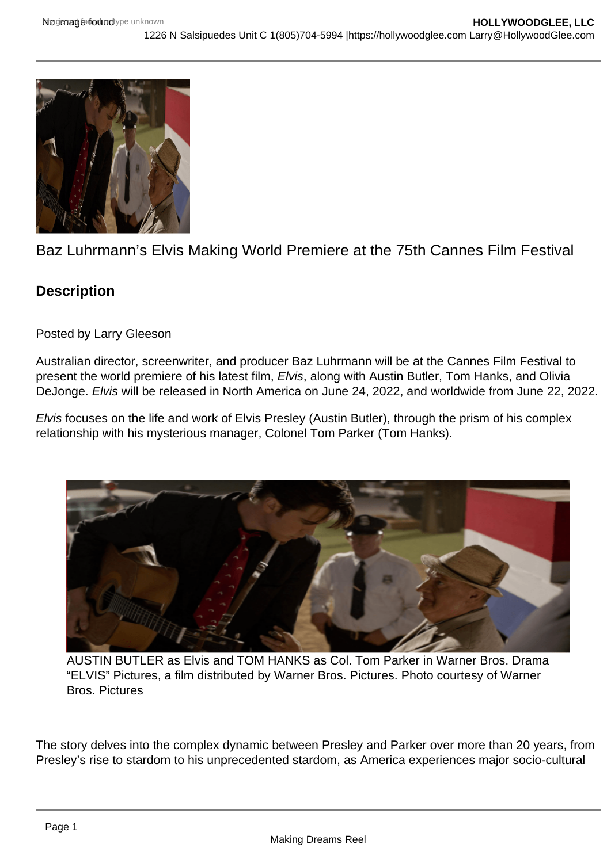## Baz Luhrmann's Elvis Making World Premiere at the 75th Cannes Film Festival

## **Description**

Posted by Larry Gleeson

Australian director, screenwriter, and producer Baz Luhrmann will be at the Cannes Film Festival to present the world premiere of his latest film, Elvis, along with Austin Butler, Tom Hanks, and Olivia DeJonge. Elvis will be released in North America on June 24, 2022, and worldwide from June 22, 2022.

Elvis focuses on the life and work of Elvis Presley (Austin Butler), through the prism of his complex relationship with his mysterious manager, Colonel Tom Parker (Tom Hanks).

AUSTIN BUTLER as Elvis and TOM HANKS as Col. Tom Parker in Warner Bros. Drama "ELVIS" Pictures, a film distributed by Warner Bros. Pictures. Photo courtesy of Warner Bros. Pictures

The story delves into the complex dynamic between Presley and Parker over more than 20 years, from Presley's rise to stardom to his unprecedented stardom, as America experiences major socio-cultural